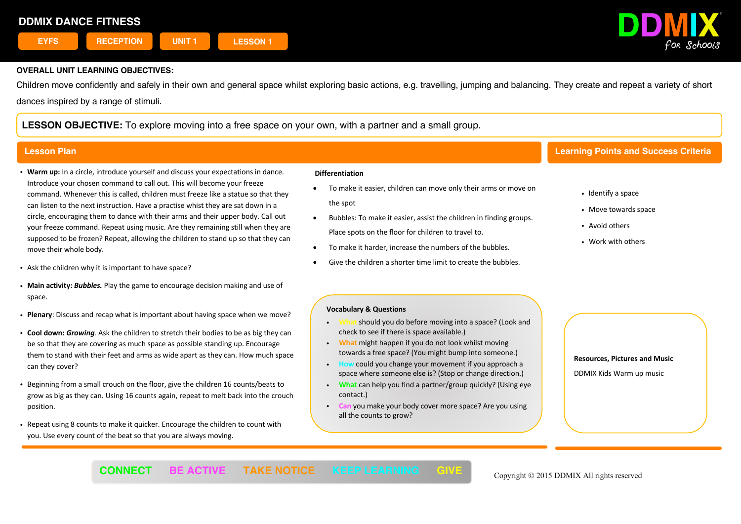

Children move confidently and safely in their own and general space whilst exploring basic actions, e.g. travelling, jumping and balancing. They create and repeat a variety of short dances inspired by a range of stimuli.

**LESSON OBJECTIVE:** To explore moving into a free space on your own, with a partner and a small group.

- ! **Warm up:** In a circle, introduce yourself and discuss your expectations in dance. Introduce your chosen command to call out. This will become your freeze command. Whenever this is called, children must freeze like a statue so that they can listen to the next instruction. Have a practise whist they are sat down in a circle, encouraging them to dance with their arms and their upper body. Call out your freeze command. Repeat using music. Are they remaining still when they are supposed to be frozen? Repeat, allowing the children to stand up so that they can move their whole body.
- . Ask the children why it is important to have space?
- ! **Main activity:** *Bubbles.* Play the game to encourage decision making and use of space.
- ! **Plenary**: Discuss and recap what is important about having space when we move?
- ! **Cool down:** *Growing.* Ask the children to stretch their bodies to be as big they can be so that they are covering as much space as possible standing up. Encourage them to stand with their feet and arms as wide apart as they can. How much space can they cover?
- ! Beginning from a small crouch on the floor, give the children 16 counts/beats to grow as big as they can. Using 16 counts again, repeat to melt back into the crouch position.
- ! Repeat using 8 counts to make it quicker. Encourage the children to count with you. Use every count of the beat so that you are always moving.

### **Differentiation**

- To make it easier, children can move only their arms or move on the spot
- Bubbles: To make it easier, assist the children in finding groups. Place spots on the floor for children to travel to.
- To make it harder, increase the numbers of the bubbles.
- Give the children a shorter time limit to create the bubbles.

## **Lesson Plan Learning Points and Success Criteria**

- Identify a space
- Move towards space
- Avoid others
- . Work with others

### **Vocabulary & Questions**

- should you do before moving into a space? (Look and check to see if there is space available.)
- ! **What** might happen if you do not look whilst moving towards a free space? (You might bump into someone.)
- could you change your movement if you approach a space where someone else is? (Stop or change direction.)
- ! **What** can help you find a partner/group quickly? (Using eye contact.)
- **Can** you make your body cover more space? Are you using all the counts to grow?

 $\overline{a}$ 

**Resources, Pictures and Music**

DDMIX Kids Warm up music

**CONNECT** BE ACTIVE TAKE NOTICE KEEP LEARNING GIVE Copyright © 2015 DDMIX All rights reserved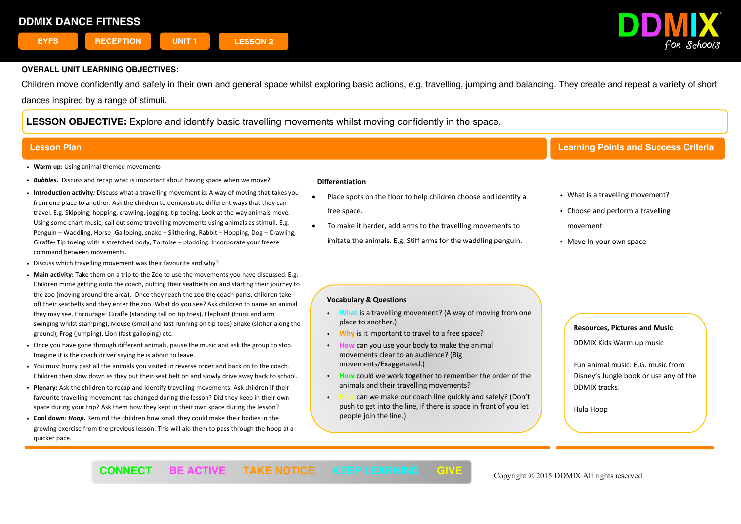

Children move confidently and safely in their own and general space whilst exploring basic actions, e.g. travelling, jumping and balancing. They create and repeat a variety of short dances inspired by a range of stimuli.

**LESSON OBJECTIVE:** Explore and identify basic travelling movements whilst moving confidently in the space.

- ! **Warm up:** Using animal themed movements
- ! *Bubbles.* Discuss and recap what is important about having space when we move?
- ! **Introduction activity***:* Discuss what a travelling movement is: A way of moving that takes you from one place to another. Ask the children to demonstrate different ways that they can travel. E.g. Skipping, hopping, crawling, jogging, tip toeing. Look at the way animals move. Using some chart music, call out some travelling movements using animals as stimuli. E.g. Penguin – Waddling, Horse- Galloping, snake – Slithering, Rabbit – Hopping, Dog – Crawling, Giraffe- Tip toeing with a stretched body, Tortoise – plodding. Incorporate your freeze command between movements.
- ! Discuss which travelling movement was their favourite and why?
- ! **Main activity:** Take them on a trip to the Zoo to use the movements you have discussed. E.g. Children mime getting onto the coach, putting their seatbelts on and starting their journey to the zoo (moving around the area). Once they reach the zoo the coach parks, children take off their seatbelts and they enter the zoo. What do you see? Ask children to name an animal they may see. Encourage: Giraffe (standing tall on tip toes), Elephant (trunk and arm swinging whilst stamping), Mouse (small and fast running on tip toes) Snake (slither along the ground), Frog (jumping), Lion (fast galloping) etc.
- ! Once you have gone through different animals, pause the music and ask the group to stop. Imagine it is the coach driver saying he is about to leave.
- ! You must hurry past all the animals you visited in reverse order and back on to the coach. Children then slow down as they put their seat belt on and slowly drive away back to school.
- ! **Plenary:** Ask the children to recap and identify travelling movements. Ask children if their favourite travelling movement has changed during the lesson? Did they keep in their own space during your trip? Ask them how they kept in their own space during the lesson?
- ! **Cool down:** *Hoop.* Remind the children how small they could make their bodies in the growing exercise from the previous lesson. This will aid them to pass through the hoop at a quicker pace.

### **Differentiation**

- Place spots on the floor to help children choose and identify a free space.
- To make it harder, add arms to the travelling movements to imitate the animals. E.g. Stiff arms for the waddling penguin.

# **Lesson Plan Learning Points and Success Criteria**

- What is a travelling movement?
- Choose and perform a travelling
- movement
- Move In your own space

### **Vocabulary & Questions**

- ! **What** is a travelling movement? (A way of moving from one place to another.)
- ! **Why** is it important to travel to a free space?
- ! **How** can you use your body to make the animal movements clear to an audience? (Big movements/Exaggerated.)
- ! **How** could we work together to remember the order of the animals and their travelling movements?
- can we make our coach line quickly and safely? (Don't push to get into the line, if there is space in front of you let people join the line.)

### **Resources, Pictures and Music**

DDMIX Kids Warm up music

Fun animal music: E.G. music from Disney's Jungle book or use any of the DDMIX tracks.

Hula Hoop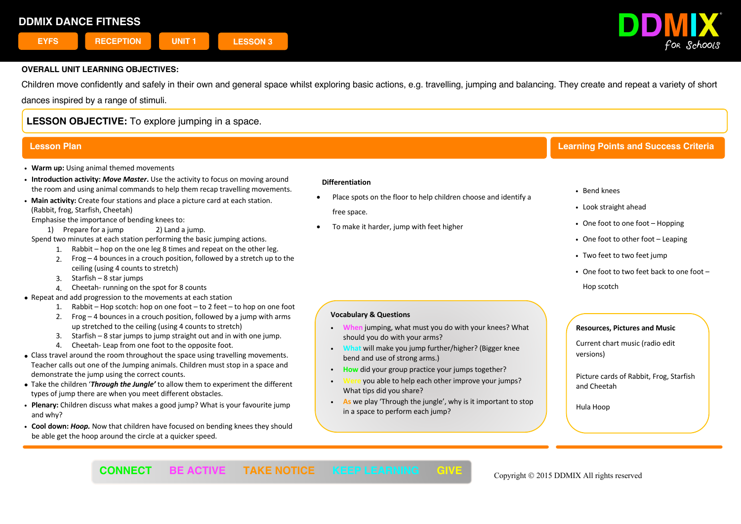

Children move confidently and safely in their own and general space whilst exploring basic actions, e.g. travelling, jumping and balancing. They create and repeat a variety of short

dances inspired by a range of stimuli.

# **LESSON OBJECTIVE:** To explore jumping in a space.

- ! **Warm up:** Using animal themed movements
- ! **Introduction activity:** *Move Master***.** Use the activity to focus on moving around the room and using animal commands to help them recap travelling movements.
- ! **Main activity:** Create four stations and place a picture card at each station. (Rabbit, frog, Starfish, Cheetah)

Emphasise the importance of bending knees to:

1) Prepare for a jump 2) Land a jump.

Spend two minutes at each station performing the basic jumping actions.

- 1. Rabbit hop on the one leg 8 times and repeat on the other leg.
	- 2. Frog 4 bounces in a crouch position, followed by a stretch up to the ceiling (using 4 counts to stretch)
	- 3. Starfish 8 star jumps
	- 4. Cheetah- running on the spot for 8 counts
- Repeat and add progression to the movements at each station
	- 1. Rabbit Hop scotch: hop on one foot to 2 feet to hop on one foot
	- 2. Frog  $-4$  bounces in a crouch position, followed by a jump with arms up stretched to the ceiling (using 4 counts to stretch)
	- 3. Starfish 8 star jumps to jump straight out and in with one jump.
	- 4. Cheetah- Leap from one foot to the opposite foot.
- Class travel around the room throughout the space using travelling movements. Teacher calls out one of the Jumping animals. Children must stop in a space and demonstrate the jump using the correct counts.
- Take the children '*Through the Jungle'* to allow them to experiment the different types of jump there are when you meet different obstacles.
- ! **Plenary:** Children discuss what makes a good jump? What is your favourite jump and why?
- ! **Cool down:** *Hoop.* Now that children have focused on bending knees they should be able get the hoop around the circle at a quicker speed.

### **Differentiation**

- Place spots on the floor to help children choose and identify a free space.
- To make it harder, jump with feet higher

# **Lesson Plan Learning Points and Success Criteria**

- ! Bend knees
- ! Look straight ahead
- One foot to one foot Hopping
- One foot to other foot Leaping
- Two feet to two feet jump
- $\cdot$  One foot to two feet back to one foot Hop scotch

## **Vocabulary & Questions**

- ! **When** jumping, what must you do with your knees? What should you do with your arms?
- ! **What** will make you jump further/higher? (Bigger knee bend and use of strong arms.)
- ! **How** did your group practice your jumps together?
- ! **Were** you able to help each other improve your jumps? What tips did you share?
- ! **As** we play 'Through the jungle', why is it important to stop in a space to perform each jump?

 $\overline{a}$ 

### **Resources, Pictures and Music**

Current chart music (radio edit  versions)

Picture cards of Rabbit, Frog, Starfish and Cheetah

Hula Hoop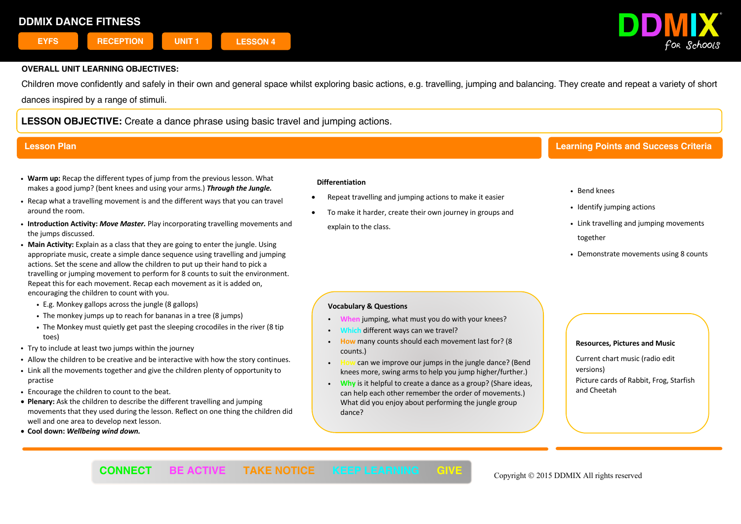# **DDMIX DANCE FITNESS**



## **OVERALL UNIT LEARNING OBJECTIVES:**

Children move confidently and safely in their own and general space whilst exploring basic actions, e.g. travelling, jumping and balancing. They create and repeat a variety of short dances inspired by a range of stimuli.

**LESSON OBJECTIVE:** Create a dance phrase using basic travel and jumping actions.

- ! **Warm up:** Recap the different types of jump from the previous lesson. What makes a good jump? (bent knees and using your arms.) *Through the Jungle.*
- ! Recap what a travelling movement is and the different ways that you can travel around the room.
- ! **Introduction Activity:** *Move Master.* Play incorporating travelling movements and the jumps discussed.
- ! **Main Activity:** Explain as a class that they are going to enter the jungle. Using appropriate music, create a simple dance sequence using travelling and jumping actions. Set the scene and allow the children to put up their hand to pick a travelling or jumping movement to perform for 8 counts to suit the environment. Repeat this for each movement. Recap each movement as it is added on, encouraging the children to count with you.
	- ! E.g. Monkey gallops across the jungle (8 gallops)
	- . The monkey jumps up to reach for bananas in a tree (8 jumps)
	- . The Monkey must quietly get past the sleeping crocodiles in the river (8 tip toes)
- . Try to include at least two jumps within the journey
- ! Allow the children to be creative and be interactive with how the story continues.
- ! Link all the movements together and give the children plenty of opportunity to practise
- ! Encourage the children to count to the beat.
- **Plenary:** Ask the children to describe the different travelling and jumping movements that they used during the lesson. Reflect on one thing the children did well and one area to develop next lesson.
- **Cool down:** *Wellbeing wind down.*

### **Differentiation**

- Repeat travelling and jumping actions to make it easier
- To make it harder, create their own journey in groups and explain to the class.

# **Lesson Plan Learning Points and Success Criteria**

- ! Bend knees
- Identify jumping actions
- . Link travelling and jumping movements together
- . Demonstrate movements using 8 counts

## **Vocabulary & Questions**

- ! **When** jumping, what must you do with your knees?
- different ways can we travel?
- ! **How** many counts should each movement last for? (8 counts.)
- ! **How** can we improve our jumps in the jungle dance? (Bend knees more, swing arms to help you jump higher/further.)
- ! **Why** is it helpful to create a dance as a group? (Share ideas, can help each other remember the order of movements.) What did you enjoy about performing the jungle group dance?

### **Resources, Pictures and Music**

Current chart music (radio edit versions) Picture cards of Rabbit, Frog, Starfish and Cheetah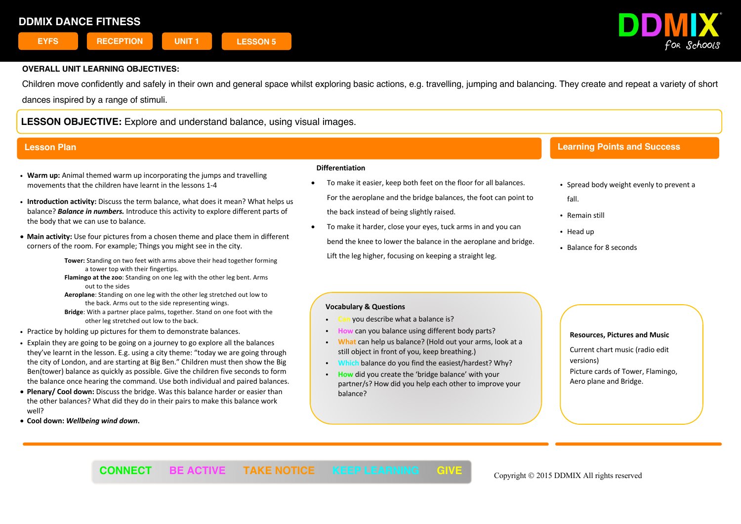

Children move confidently and safely in their own and general space whilst exploring basic actions, e.g. travelling, jumping and balancing. They create and repeat a variety of short dances inspired by a range of stimuli.

**LESSON OBJECTIVE:** Explore and understand balance, using visual images.

## **Lesson Plan**

- ! **Warm up:** Animal themed warm up incorporating the jumps and travelling movements that the children have learnt in the lessons 1-4
- ! **Introduction activity:** Discuss the term balance, what does it mean? What helps us balance? *Balance in numbers.* Introduce this activity to explore different parts of the body that we can use to balance.
- **Main activity:** Use four pictures from a chosen theme and place them in different corners of the room. For example; Things you might see in the city.

 **Tower:** Standing on two feet with arms above their head together forming a tower top with their fingertips.

 **Flamingo at the zoo**: Standing on one leg with the other leg bent. Arms out to the sides

 **Aeroplane**: Standing on one leg with the other leg stretched out low to the back. Arms out to the side representing wings.

 **Bridge**: With a partner place palms, together. Stand on one foot with the other leg stretched out low to the back.

- . Practice by holding up pictures for them to demonstrate balances.
- ! Explain they are going to be going on a journey to go explore all the balances they've learnt in the lesson. E.g. using a city theme: "today we are going through the city of London, and are starting at Big Ben." Children must then show the Big Ben(tower) balance as quickly as possible. Give the children five seconds to form the balance once hearing the command. Use both individual and paired balances.
- **Plenary/ Cool down:** Discuss the bridge. Was this balance harder or easier than the other balances? What did they do in their pairs to make this balance work well?
- **Cool down:** *Wellbeing wind down***.**

### **Differentiation**

- To make it easier, keep both feet on the floor for all balances. For the aeroplane and the bridge balances, the foot can point to the back instead of being slightly raised.
- To make it harder, close your eyes, tuck arms in and you can bend the knee to lower the balance in the aeroplane and bridge. Lift the leg higher, focusing on keeping a straight leg.

# **Learning Points and Success**

- Spread body weight evenly to prevent a fall.
- Remain still
- Head up

**Criteria**

! Balance for 8 seconds

## **Vocabulary & Questions**

- ! **Can** you describe what a balance is?
- **can you balance using different body parts?**
- ! **What** can help us balance? (Hold out your arms, look at a still object in front of you, keep breathing.)
- ! **Which** balance do you find the easiest/hardest? Why?
- ! **How** did you create the 'bridge balance' with your partner/s? How did you help each other to improve your balance?

 $\overline{1}$ 

### **Resources, Pictures and Music**

Current chart music (radio edit versions) Picture cards of Tower, Flamingo, Aero plane and Bridge.